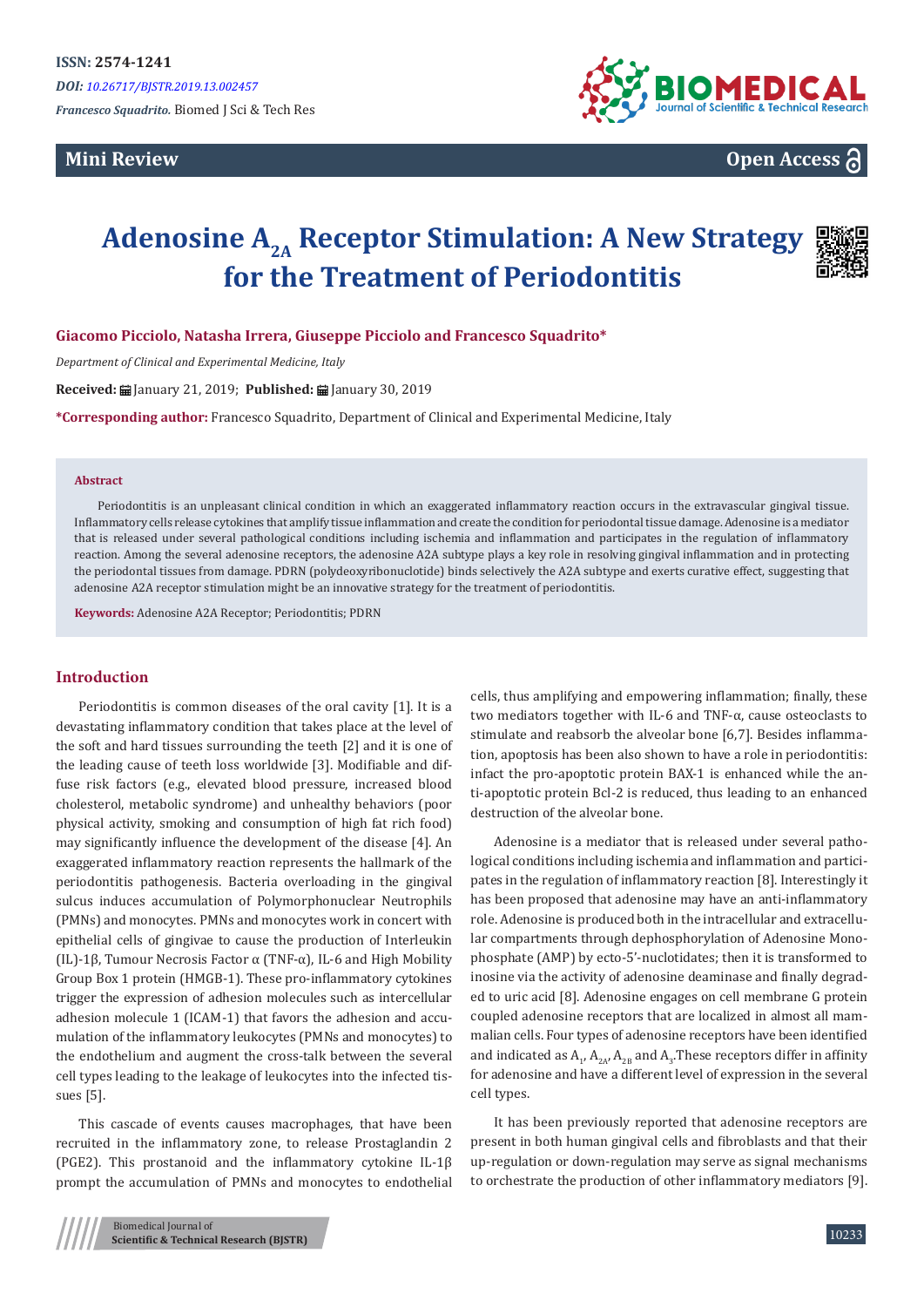**Mini Review**



**Open Access**

# **Adenosine A2A Receptor Stimulation: A New Strategy for the Treatment of Periodontitis**



**Giacomo Picciolo, Natasha Irrera, Giuseppe Picciolo and Francesco Squadrito\***

*Department of Clinical and Experimental Medicine, Italy*

**Received:** January 21, 2019; **Published:** January 30, 2019

**\*Corresponding author:** Francesco Squadrito, Department of Clinical and Experimental Medicine, Italy

#### **Abstract**

Periodontitis is an unpleasant clinical condition in which an exaggerated inflammatory reaction occurs in the extravascular gingival tissue. Inflammatory cells release cytokines that amplify tissue inflammation and create the condition for periodontal tissue damage. Adenosine is a mediator that is released under several pathological conditions including ischemia and inflammation and participates in the regulation of inflammatory reaction. Among the several adenosine receptors, the adenosine A2A subtype plays a key role in resolving gingival inflammation and in protecting the periodontal tissues from damage. PDRN (polydeoxyribonuclotide) binds selectively the A2A subtype and exerts curative effect, suggesting that adenosine A2A receptor stimulation might be an innovative strategy for the treatment of periodontitis.

**Keywords:** Adenosine A2A Receptor; Periodontitis; PDRN

## **Introduction**

Periodontitis is common diseases of the oral cavity [1]. It is a devastating inflammatory condition that takes place at the level of the soft and hard tissues surrounding the teeth [2] and it is one of the leading cause of teeth loss worldwide [3]. Modifiable and diffuse risk factors (e.g., elevated blood pressure, increased blood cholesterol, metabolic syndrome) and unhealthy behaviors (poor physical activity, smoking and consumption of high fat rich food) may significantly influence the development of the disease [4]. An exaggerated inflammatory reaction represents the hallmark of the periodontitis pathogenesis. Bacteria overloading in the gingival sulcus induces accumulation of Polymorphonuclear Neutrophils (PMNs) and monocytes. PMNs and monocytes work in concert with epithelial cells of gingivae to cause the production of Interleukin (IL)-1β, Tumour Necrosis Factor α (TNF-α), IL-6 and High Mobility Group Box 1 protein (HMGB-1). These pro-inflammatory cytokines trigger the expression of adhesion molecules such as intercellular adhesion molecule 1 (ICAM-1) that favors the adhesion and accumulation of the inflammatory leukocytes (PMNs and monocytes) to the endothelium and augment the cross-talk between the several cell types leading to the leakage of leukocytes into the infected tissues [5].

This cascade of events causes macrophages, that have been recruited in the inflammatory zone, to release Prostaglandin 2 (PGE2). This prostanoid and the inflammatory cytokine IL-1β prompt the accumulation of PMNs and monocytes to endothelial

> Biomedical Journal of **Scientific & Technical Research (BJSTR)**

cells, thus amplifying and empowering inflammation; finally, these two mediators together with IL-6 and TNF-α, cause osteoclasts to stimulate and reabsorb the alveolar bone [6,7]. Besides inflammation, apoptosis has been also shown to have a role in periodontitis: infact the pro-apoptotic protein BAX-1 is enhanced while the anti-apoptotic protein Bcl-2 is reduced, thus leading to an enhanced destruction of the alveolar bone.

Adenosine is a mediator that is released under several pathological conditions including ischemia and inflammation and participates in the regulation of inflammatory reaction [8]. Interestingly it has been proposed that adenosine may have an anti-inflammatory role. Adenosine is produced both in the intracellular and extracellular compartments through dephosphorylation of Adenosine Monophosphate (AMP) by ecto-5'-nuclotidates; then it is transformed to inosine via the activity of adenosine deaminase and finally degraded to uric acid [8]. Adenosine engages on cell membrane G protein coupled adenosine receptors that are localized in almost all mammalian cells. Four types of adenosine receptors have been identified and indicated as  $A_1$ ,  $A_{2A'}$   $A_{2B}$  and  $A_3$ . These receptors differ in affinity for adenosine and have a different level of expression in the several cell types.

It has been previously reported that adenosine receptors are present in both human gingival cells and fibroblasts and that their up-regulation or down-regulation may serve as signal mechanisms to orchestrate the production of other inflammatory mediators [9].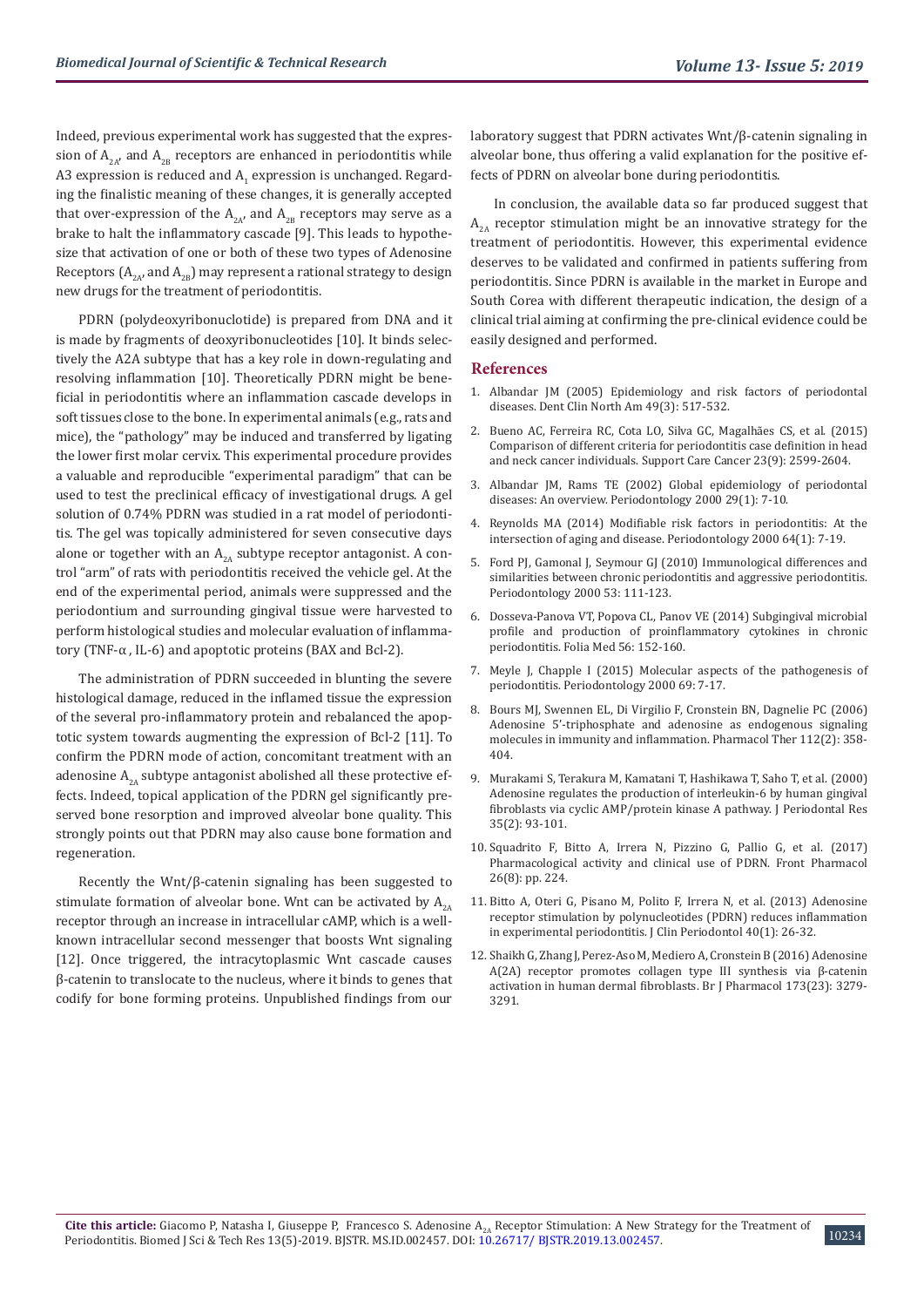Indeed, previous experimental work has suggested that the expression of  $A_{2A}$ , and  $A_{2B}$  receptors are enhanced in periodontitis while  $A3$  expression is reduced and  $A_1$  expression is unchanged. Regarding the finalistic meaning of these changes, it is generally accepted that over-expression of the  $A_{2A}$  and  $A_{2B}$  receptors may serve as a brake to halt the inflammatory cascade [9]. This leads to hypothesize that activation of one or both of these two types of Adenosine Receptors  $(A_{2A})$  and  $A_{2B}$ ) may represent a rational strategy to design new drugs for the treatment of periodontitis.

PDRN (polydeoxyribonuclotide) is prepared from DNA and it is made by fragments of deoxyribonucleotides [10]. It binds selectively the A2A subtype that has a key role in down-regulating and resolving inflammation [10]. Theoretically PDRN might be beneficial in periodontitis where an inflammation cascade develops in soft tissues close to the bone. In experimental animals (e.g., rats and mice), the "pathology" may be induced and transferred by ligating the lower first molar cervix. This experimental procedure provides a valuable and reproducible "experimental paradigm" that can be used to test the preclinical efficacy of investigational drugs. A gel solution of 0.74% PDRN was studied in a rat model of periodontitis. The gel was topically administered for seven consecutive days alone or together with an  $A_{2A}$  subtype receptor antagonist. A control "arm" of rats with periodontitis received the vehicle gel. At the end of the experimental period, animals were suppressed and the periodontium and surrounding gingival tissue were harvested to perform histological studies and molecular evaluation of inflammatory (TNF-α , IL-6) and apoptotic proteins (BAX and Bcl-2).

The administration of PDRN succeeded in blunting the severe histological damage, reduced in the inflamed tissue the expression of the several pro-inflammatory protein and rebalanced the apoptotic system towards augmenting the expression of Bcl-2 [11]. To confirm the PDRN mode of action, concomitant treatment with an adenosine  $A_{2A}$  subtype antagonist abolished all these protective effects. Indeed, topical application of the PDRN gel significantly preserved bone resorption and improved alveolar bone quality. This strongly points out that PDRN may also cause bone formation and regeneration.

Recently the Wnt/β-catenin signaling has been suggested to stimulate formation of alveolar bone. Wnt can be activated by  $A_{2A}$ receptor through an increase in intracellular cAMP, which is a wellknown intracellular second messenger that boosts Wnt signaling [12]. Once triggered, the intracytoplasmic Wnt cascade causes β-catenin to translocate to the nucleus, where it binds to genes that codify for bone forming proteins. Unpublished findings from our

laboratory suggest that PDRN activates Wnt/β-catenin signaling in alveolar bone, thus offering a valid explanation for the positive effects of PDRN on alveolar bone during periodontitis.

In conclusion, the available data so far produced suggest that  $A_{2A}$  receptor stimulation might be an innovative strategy for the treatment of periodontitis. However, this experimental evidence deserves to be validated and confirmed in patients suffering from periodontitis. Since PDRN is available in the market in Europe and South Corea with different therapeutic indication, the design of a clinical trial aiming at confirming the pre-clinical evidence could be easily designed and performed.

### **References**

- 1. [Albandar JM \(2005\) Epidemiology and risk factors of periodontal](https://www.ncbi.nlm.nih.gov/pubmed/15978239) [diseases. Dent Clin North Am 49\(3\): 517-532.](https://www.ncbi.nlm.nih.gov/pubmed/15978239)
- 2. [Bueno AC, Ferreira RC, Cota LO, Silva GC, Magalhães CS, et al. \(2015\)](https://www.ncbi.nlm.nih.gov/pubmed/25617990) [Comparison of different criteria for periodontitis case definition in head](https://www.ncbi.nlm.nih.gov/pubmed/25617990) [and neck cancer individuals. Support Care Cancer 23\(9\): 2599-2604.](https://www.ncbi.nlm.nih.gov/pubmed/25617990)
- 3. [Albandar JM, Rams TE \(2002\) Global epidemiology of periodontal](https://www.ncbi.nlm.nih.gov/pubmed/12102700) [diseases: An overview. Periodontology 2000 29\(1\): 7-10.](https://www.ncbi.nlm.nih.gov/pubmed/12102700)
- 4. [Reynolds MA \(2014\) Modifiable risk factors in periodontitis: At the](https://www.ncbi.nlm.nih.gov/pubmed/24320953) [intersection of aging and disease. Periodontology 2000 64\(1\): 7-19.](https://www.ncbi.nlm.nih.gov/pubmed/24320953)
- 5. [Ford PJ, Gamonal J, Seymour GJ \(2010\) Immunological differences and](https://www.ncbi.nlm.nih.gov/pubmed/20403108) [similarities between chronic periodontitis and aggressive periodontitis.](https://www.ncbi.nlm.nih.gov/pubmed/20403108) [Periodontology 2000 53: 111-123.](https://www.ncbi.nlm.nih.gov/pubmed/20403108)
- 6. [Dosseva-Panova VT, Popova CL, Panov VE \(2014\) Subgingival microbial](https://www.ncbi.nlm.nih.gov/pubmed/25434071) [profile and production of proinflammatory cytokines in chronic](https://www.ncbi.nlm.nih.gov/pubmed/25434071) [periodontitis. Folia Med 56: 152-160.](https://www.ncbi.nlm.nih.gov/pubmed/25434071)
- 7. [Meyle J, Chapple I \(2015\) Molecular aspects of the pathogenesis of](https://www.ncbi.nlm.nih.gov/pubmed/26252398) [periodontitis. Periodontology 2000 69: 7-17.](https://www.ncbi.nlm.nih.gov/pubmed/26252398)
- 8. [Bours MJ, Swennen EL, Di Virgilio F, Cronstein BN, Dagnelie PC \(2006\)](https://www.ncbi.nlm.nih.gov/pubmed/16784779) [Adenosine 5'-triphosphate and adenosine as endogenous signaling](https://www.ncbi.nlm.nih.gov/pubmed/16784779) [molecules in immunity and inflammation. Pharmacol Ther 112\(2\): 358-](https://www.ncbi.nlm.nih.gov/pubmed/16784779) [404.](https://www.ncbi.nlm.nih.gov/pubmed/16784779)
- 9. [Murakami S, Terakura M, Kamatani T, Hashikawa T, Saho T, et al. \(2000\)](https://www.ncbi.nlm.nih.gov/pubmed/10863963) [Adenosine regulates the production of interleukin-6 by human gingival](https://www.ncbi.nlm.nih.gov/pubmed/10863963) [fibroblasts via cyclic AMP/protein kinase A pathway. J Periodontal Res](https://www.ncbi.nlm.nih.gov/pubmed/10863963) [35\(2\): 93-101.](https://www.ncbi.nlm.nih.gov/pubmed/10863963)
- 10. [Squadrito F, Bitto A, Irrera N, Pizzino G, Pallio G, et al. \(2017\)](https://www.ncbi.nlm.nih.gov/pubmed/28491036) [Pharmacological activity and clinical use of PDRN. Front Pharmacol](https://www.ncbi.nlm.nih.gov/pubmed/28491036) [26\(8\): pp. 224.](https://www.ncbi.nlm.nih.gov/pubmed/28491036)
- 11. [Bitto A, Oteri G, Pisano M, Polito F, Irrera N, et al. \(2013\) Adenosine](https://www.ncbi.nlm.nih.gov/pubmed/23033941) [receptor stimulation by polynucleotides \(PDRN\) reduces inflammation](https://www.ncbi.nlm.nih.gov/pubmed/23033941) [in experimental periodontitis. J Clin Periodontol 40\(1\): 26-32.](https://www.ncbi.nlm.nih.gov/pubmed/23033941)
- 12. [Shaikh G, Zhang J, Perez-Aso M, Mediero A, Cronstein B \(2016\) Adenosine](https://www.ncbi.nlm.nih.gov/pubmed/27595240) [A\(2A\) receptor promotes collagen type III synthesis via β-catenin](https://www.ncbi.nlm.nih.gov/pubmed/27595240) [activation in human dermal fibroblasts. Br J Pharmacol 173\(23\): 3279-](https://www.ncbi.nlm.nih.gov/pubmed/27595240) [3291.](https://www.ncbi.nlm.nih.gov/pubmed/27595240)

10234